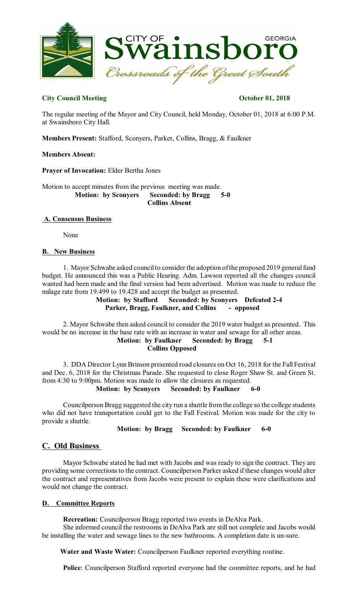

## **City Council Meeting October 01, 2018**

The regular meeting of the Mayor and City Council, held Monday, October 01, 2018 at 6:00 P.M. at Swainsboro City Hall.

**Members Present:** Stafford, Sconyers, Parker, Collins, Bragg, & Faulkner

## **Members Absent:**

**Prayer of Invocation:** Elder Bertha Jones

Motion to accept minutes from the previous meeting was made. **Motion: by Sconyers Seconded: by Bragg 5-0 Collins Absent**

## **A. Consensus Business**

None

### **B. New Business**

1. Mayor Schwabe asked council to consider the adoption of the proposed 2019 general fund budget. He announced this was a Public Hearing. Adm. Lawson reported all the changes council wanted had been made and the final version had been advertised. Motion was made to reduce the milage rate from 19.499 to 19.428 and accept the budget as presented.

**Motion: by Stafford Seconded: by Sconyers Defeated 2-4 Parker, Bragg, Faulkner, and Collins - opposed**

2. Mayor Schwabe then asked council to consider the 2019 water budget as presented. This would be no increase in the base rate with an increase in water and sewage for all other areas. **Motion: by Faulkner Seconded: by Bragg 5-1** 

**Collins Opposed**

3. DDA Director Lynn Brinson presented road closures on Oct 16, 2018 for the Fall Festival and Dec. 6, 2018 for the Christmas Parade. She requested to close Roger Shaw St. and Green St. from 4:30 to 9:00pm. Motion was made to allow the closures as requested.

## **Motion: by Sconyers Seconded: by Faulkner 6-0**

Councilperson Bragg suggested the city run a shuttle fromthe college so the college students who did not have transportation could get to the Fall Festival. Motion was made for the city to provide a shuttle.

**Motion: by Bragg Seconded: by Faulkner 6-0** 

# **C. Old Business**

Mayor Schwabe stated he had met with Jacobs and was ready to sign the contract. They are providing some correctionsto the contract. Councilperson Parker asked if these changes would alter the contract and representatives from Jacobs were present to explain these were clarifications and would not change the contract.

## **D. Committee Reports**

**Recreation:** Councilperson Bragg reported two events in DeAlva Park.

She informed council the restrooms in DeAlva Park are still not complete and Jacobs would be installing the water and sewage lines to the new bathrooms. A completion date is un-sure.

**Water and Waste Water:** Councilperson Faulkner reported everything routine.

**Police**: Councilperson Stafford reported everyone had the committee reports, and he had